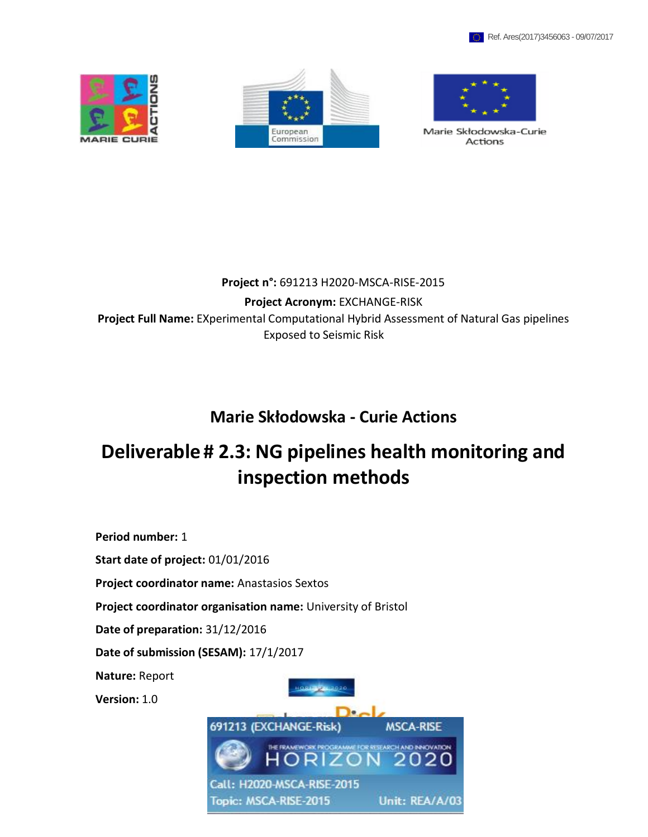





Marie Skłodowska-Curie Actions

# **Project n°:** 691213 H2020-MSCA-RISE-2015

**Project Acronym:** EXCHANGE-RISK **Project Full Name:** EXperimental Computational Hybrid Assessment of Natural Gas pipelines Exposed to Seismic Risk

# **Marie Skłodowska - Curie Actions**

# **Deliverable# 2.3: NG pipelines health monitoring and inspection methods**

**Period number:** 1

**Start date of project:** 01/01/2016

**Project coordinator name:** Anastasios Sextos

**Project coordinator organisation name:** University of Bristol

**Date of preparation:** 31/12/2016

**Date of submission (SESAM):** 17/1/2017

**Nature:** Report

**Version:** 1.0

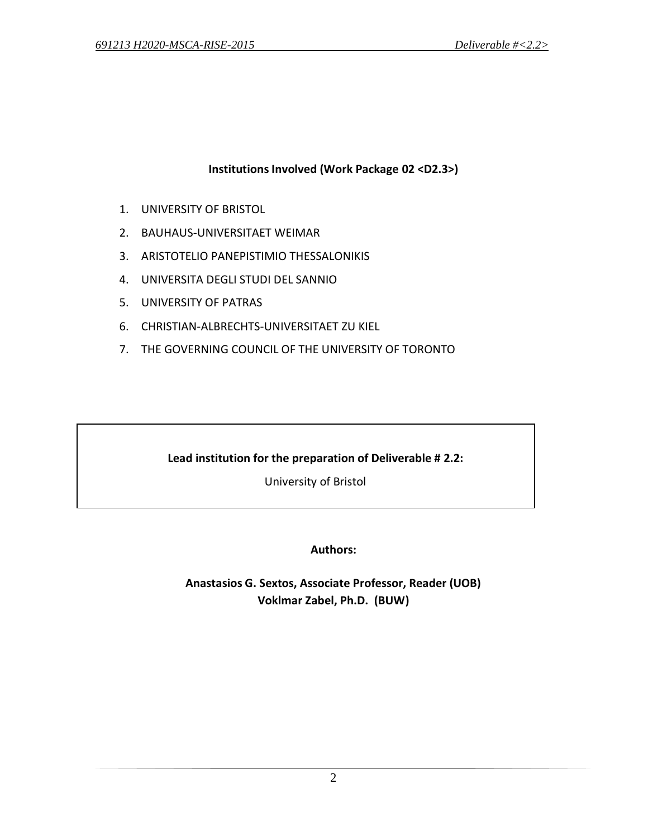# **Institutions Involved (Work Package 02 <D2.3>)**

- 1. UNIVERSITY OF BRISTOL
- 2. BAUHAUS-UNIVERSITAET WEIMAR
- 3. ARISTOTELIO PANEPISTIMIO THESSALONIKIS
- 4. UNIVERSITA DEGLI STUDI DEL SANNIO
- 5. UNIVERSITY OF PATRAS
- 6. CHRISTIAN-ALBRECHTS-UNIVERSITAET ZU KIEL
- 7. THE GOVERNING COUNCIL OF THE UNIVERSITY OF TORONTO

# **Lead institution for the preparation of Deliverable # 2.2:**

University of Bristol

**Authors:**

**Anastasios G. Sextos, Associate Professor, Reader (UOB) Voklmar Zabel, Ph.D. (BUW)**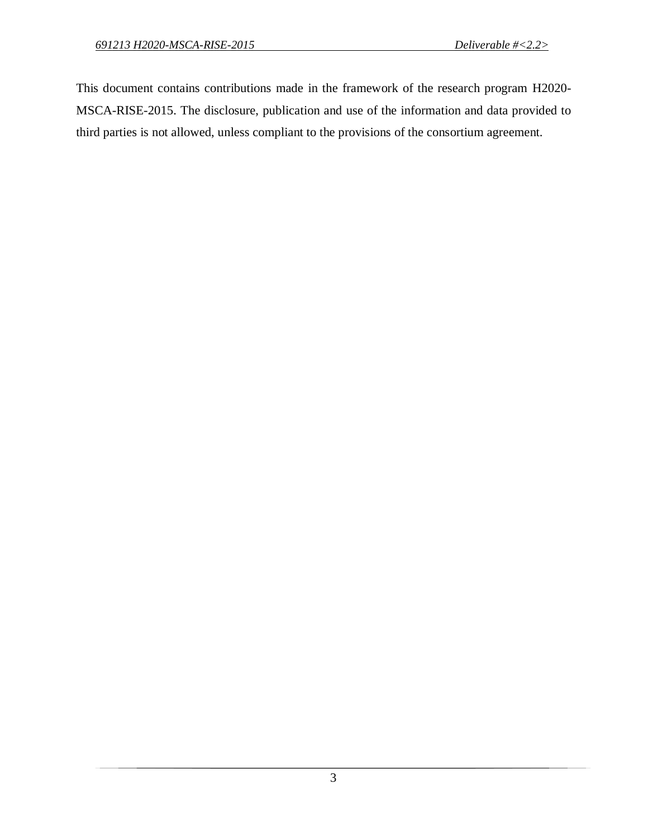This document contains contributions made in the framework of the research program H2020- MSCA-RISE-2015. The disclosure, publication and use of the information and data provided to third parties is not allowed, unless compliant to the provisions of the consortium agreement.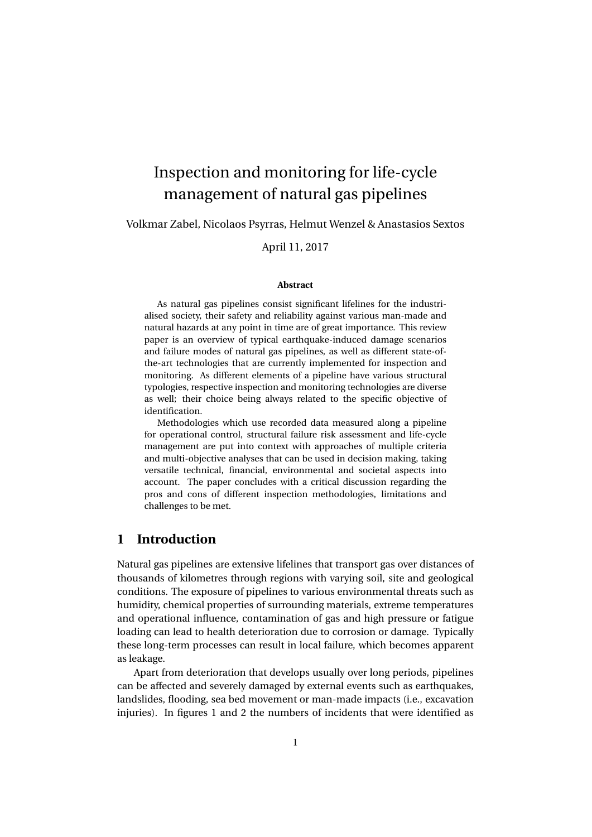# Inspection and monitoring for life-cycle management of natural gas pipelines

Volkmar Zabel, Nicolaos Psyrras, Helmut Wenzel & Anastasios Sextos

April 11, 2017

#### **Abstract**

As natural gas pipelines consist significant lifelines for the industrialised society, their safety and reliability against various man-made and natural hazards at any point in time are of great importance. This review paper is an overview of typical earthquake-induced damage scenarios and failure modes of natural gas pipelines, as well as different state-ofthe-art technologies that are currently implemented for inspection and monitoring. As different elements of a pipeline have various structural typologies, respective inspection and monitoring technologies are diverse as well; their choice being always related to the specific objective of identification.

Methodologies which use recorded data measured along a pipeline for operational control, structural failure risk assessment and life-cycle management are put into context with approaches of multiple criteria and multi-objective analyses that can be used in decision making, taking versatile technical, financial, environmental and societal aspects into account. The paper concludes with a critical discussion regarding the pros and cons of different inspection methodologies, limitations and challenges to be met.

# **1 Introduction**

Natural gas pipelines are extensive lifelines that transport gas over distances of thousands of kilometres through regions with varying soil, site and geological conditions. The exposure of pipelines to various environmental threats such as humidity, chemical properties of surrounding materials, extreme temperatures and operational influence, contamination of gas and high pressure or fatigue loading can lead to health deterioration due to corrosion or damage. Typically these long-term processes can result in local failure, which becomes apparent as leakage.

Apart from deterioration that develops usually over long periods, pipelines can be affected and severely damaged by external events such as earthquakes, landslides, flooding, sea bed movement or man-made impacts (i.e., excavation injuries). In figures 1 and 2 the numbers of incidents that were identified as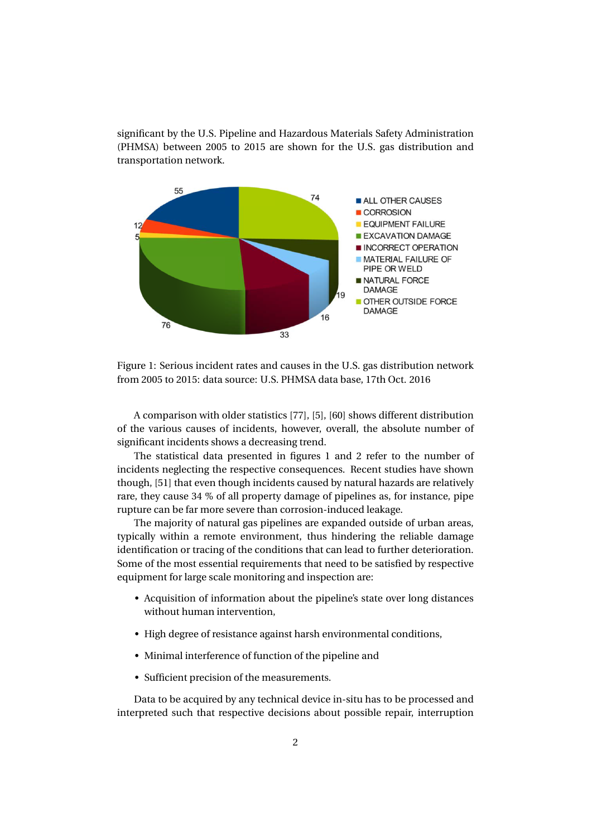significant by the U.S. Pipeline and Hazardous Materials Safety Administration (PHMSA) between 2005 to 2015 are shown for the U.S. gas distribution and transportation network.



Figure 1: Serious incident rates and causes in the U.S. gas distribution network from 2005 to 2015: data source: U.S. PHMSA data base, 17th Oct. 2016

A comparison with older statistics [77], [5], [60] shows different distribution of the various causes of incidents, however, overall, the absolute number of significant incidents shows a decreasing trend.

The statistical data presented in figures 1 and 2 refer to the number of incidents neglecting the respective consequences. Recent studies have shown though, [51] that even though incidents caused by natural hazards are relatively rare, they cause 34 % of all property damage of pipelines as, for instance, pipe rupture can be far more severe than corrosion-induced leakage.

The majority of natural gas pipelines are expanded outside of urban areas, typically within a remote environment, thus hindering the reliable damage identification or tracing of the conditions that can lead to further deterioration. Some of the most essential requirements that need to be satisfied by respective equipment for large scale monitoring and inspection are:

- Acquisition of information about the pipeline's state over long distances without human intervention,
- High degree of resistance against harsh environmental conditions,
- Minimal interference of function of the pipeline and
- Sufficient precision of the measurements.

Data to be acquired by any technical device in-situ has to be processed and interpreted such that respective decisions about possible repair, interruption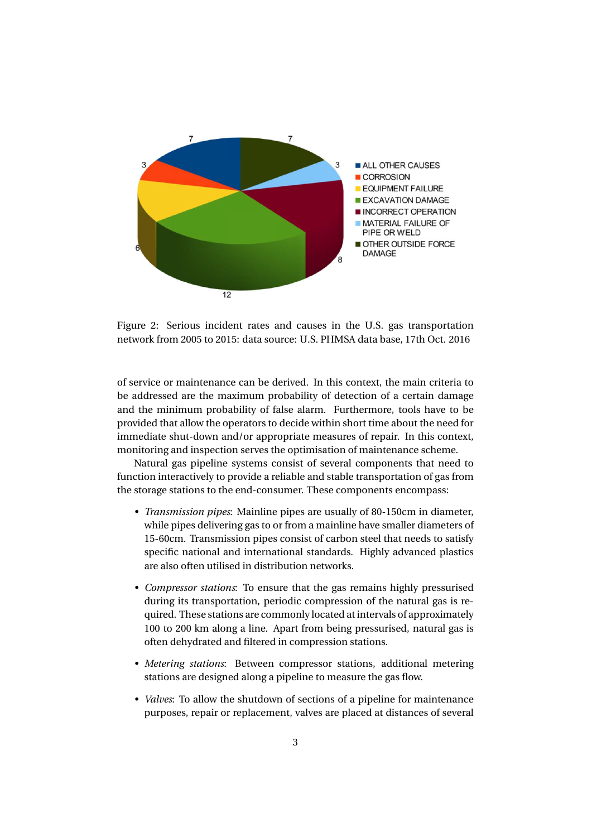

Figure 2: Serious incident rates and causes in the U.S. gas transportation network from 2005 to 2015: data source: U.S. PHMSA data base, 17th Oct. 2016

of service or maintenance can be derived. In this context, the main criteria to be addressed are the maximum probability of detection of a certain damage and the minimum probability of false alarm. Furthermore, tools have to be provided that allow the operators to decide within short time about the need for immediate shut-down and/or appropriate measures of repair. In this context, monitoring and inspection serves the optimisation of maintenance scheme.

Natural gas pipeline systems consist of several components that need to function interactively to provide a reliable and stable transportation of gas from the storage stations to the end-consumer. These components encompass:

- *Transmission pipes*: Mainline pipes are usually of 80-150cm in diameter, while pipes delivering gas to or from a mainline have smaller diameters of 15-60cm. Transmission pipes consist of carbon steel that needs to satisfy specific national and international standards. Highly advanced plastics are also often utilised in distribution networks.
- *Compressor stations*: To ensure that the gas remains highly pressurised during its transportation, periodic compression of the natural gas is required. These stations are commonly located at intervals of approximately 100 to 200 km along a line. Apart from being pressurised, natural gas is often dehydrated and filtered in compression stations.
- *Metering stations*: Between compressor stations, additional metering stations are designed along a pipeline to measure the gas flow.
- *Valves*: To allow the shutdown of sections of a pipeline for maintenance purposes, repair or replacement, valves are placed at distances of several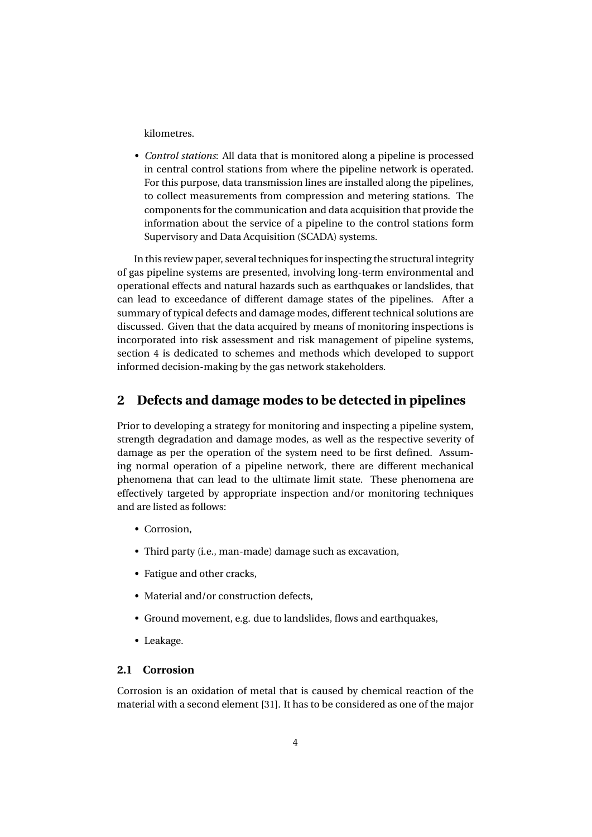kilometres.

• *Control stations*: All data that is monitored along a pipeline is processed in central control stations from where the pipeline network is operated. For this purpose, data transmission lines are installed along the pipelines, to collect measurements from compression and metering stations. The components for the communication and data acquisition that provide the information about the service of a pipeline to the control stations form Supervisory and Data Acquisition (SCADA) systems.

In this review paper, several techniques for inspecting the structural integrity of gas pipeline systems are presented, involving long-term environmental and operational effects and natural hazards such as earthquakes or landslides, that can lead to exceedance of different damage states of the pipelines. After a summary of typical defects and damage modes, different technical solutions are discussed. Given that the data acquired by means of monitoring inspections is incorporated into risk assessment and risk management of pipeline systems, section 4 is dedicated to schemes and methods which developed to support informed decision-making by the gas network stakeholders.

## **2 Defects and damage modes to be detected in pipelines**

Prior to developing a strategy for monitoring and inspecting a pipeline system, strength degradation and damage modes, as well as the respective severity of damage as per the operation of the system need to be first defined. Assuming normal operation of a pipeline network, there are different mechanical phenomena that can lead to the ultimate limit state. These phenomena are effectively targeted by appropriate inspection and/or monitoring techniques and are listed as follows:

- Corrosion,
- Third party (i.e., man-made) damage such as excavation,
- Fatigue and other cracks,
- Material and/or construction defects,
- Ground movement, e.g. due to landslides, flows and earthquakes,
- Leakage.

### **2.1 Corrosion**

Corrosion is an oxidation of metal that is caused by chemical reaction of the material with a second element [31]. It has to be considered as one of the major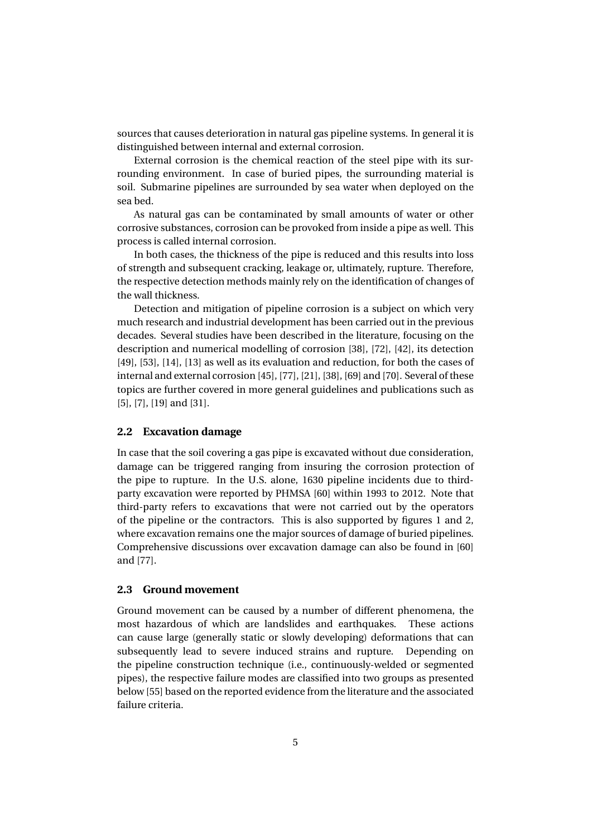sources that causes deterioration in natural gas pipeline systems. In general it is distinguished between internal and external corrosion.

External corrosion is the chemical reaction of the steel pipe with its surrounding environment. In case of buried pipes, the surrounding material is soil. Submarine pipelines are surrounded by sea water when deployed on the sea bed.

As natural gas can be contaminated by small amounts of water or other corrosive substances, corrosion can be provoked from inside a pipe as well. This process is called internal corrosion.

In both cases, the thickness of the pipe is reduced and this results into loss of strength and subsequent cracking, leakage or, ultimately, rupture. Therefore, the respective detection methods mainly rely on the identification of changes of the wall thickness.

Detection and mitigation of pipeline corrosion is a subject on which very much research and industrial development has been carried out in the previous decades. Several studies have been described in the literature, focusing on the description and numerical modelling of corrosion [38], [72], [42], its detection [49], [53], [14], [13] as well as its evaluation and reduction, for both the cases of internal and external corrosion [45], [77], [21], [38], [69] and [70]. Several of these topics are further covered in more general guidelines and publications such as [5], [7], [19] and [31].

#### **2.2 Excavation damage**

In case that the soil covering a gas pipe is excavated without due consideration, damage can be triggered ranging from insuring the corrosion protection of the pipe to rupture. In the U.S. alone, 1630 pipeline incidents due to thirdparty excavation were reported by PHMSA [60] within 1993 to 2012. Note that third-party refers to excavations that were not carried out by the operators of the pipeline or the contractors. This is also supported by figures 1 and 2, where excavation remains one the major sources of damage of buried pipelines. Comprehensive discussions over excavation damage can also be found in [60] and [77].

#### **2.3 Ground movement**

Ground movement can be caused by a number of different phenomena, the most hazardous of which are landslides and earthquakes. These actions can cause large (generally static or slowly developing) deformations that can subsequently lead to severe induced strains and rupture. Depending on the pipeline construction technique (i.e., continuously-welded or segmented pipes), the respective failure modes are classified into two groups as presented below [55] based on the reported evidence from the literature and the associated failure criteria.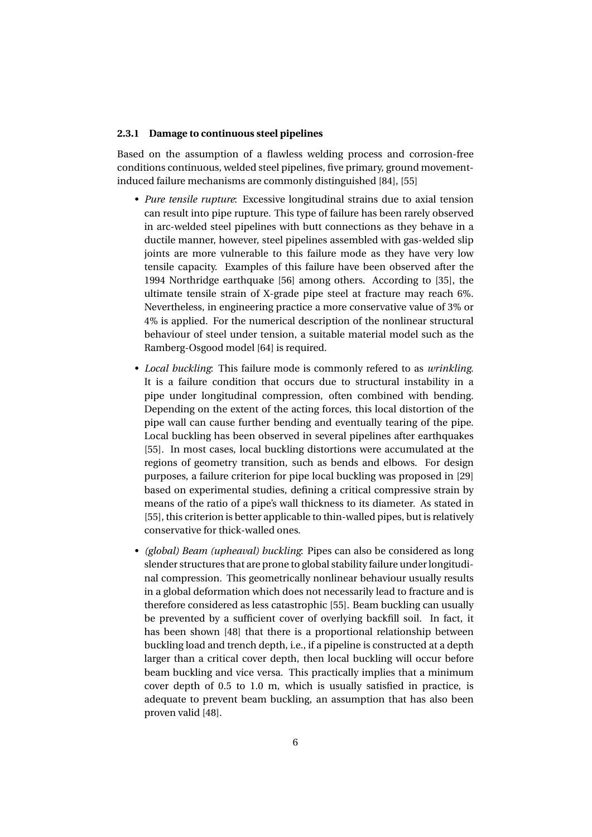#### **2.3.1 Damage to continuous steel pipelines**

Based on the assumption of a flawless welding process and corrosion-free conditions continuous, welded steel pipelines, five primary, ground movementinduced failure mechanisms are commonly distinguished [84], [55]

- *Pure tensile rupture*: Excessive longitudinal strains due to axial tension can result into pipe rupture. This type of failure has been rarely observed in arc-welded steel pipelines with butt connections as they behave in a ductile manner, however, steel pipelines assembled with gas-welded slip joints are more vulnerable to this failure mode as they have very low tensile capacity. Examples of this failure have been observed after the 1994 Northridge earthquake [56] among others. According to [35], the ultimate tensile strain of X-grade pipe steel at fracture may reach 6%. Nevertheless, in engineering practice a more conservative value of 3% or 4% is applied. For the numerical description of the nonlinear structural behaviour of steel under tension, a suitable material model such as the Ramberg-Osgood model [64] is required.
- *Local buckling*: This failure mode is commonly refered to as *wrinkling*. It is a failure condition that occurs due to structural instability in a pipe under longitudinal compression, often combined with bending. Depending on the extent of the acting forces, this local distortion of the pipe wall can cause further bending and eventually tearing of the pipe. Local buckling has been observed in several pipelines after earthquakes [55]. In most cases, local buckling distortions were accumulated at the regions of geometry transition, such as bends and elbows. For design purposes, a failure criterion for pipe local buckling was proposed in [29] based on experimental studies, defining a critical compressive strain by means of the ratio of a pipe's wall thickness to its diameter. As stated in [55], this criterion is better applicable to thin-walled pipes, but is relatively conservative for thick-walled ones.
- *(global) Beam (upheaval) buckling*: Pipes can also be considered as long slender structures that are prone to global stability failure under longitudinal compression. This geometrically nonlinear behaviour usually results in a global deformation which does not necessarily lead to fracture and is therefore considered as less catastrophic [55]. Beam buckling can usually be prevented by a sufficient cover of overlying backfill soil. In fact, it has been shown [48] that there is a proportional relationship between buckling load and trench depth, i.e., if a pipeline is constructed at a depth larger than a critical cover depth, then local buckling will occur before beam buckling and vice versa. This practically implies that a minimum cover depth of 0.5 to 1.0 m, which is usually satisfied in practice, is adequate to prevent beam buckling, an assumption that has also been proven valid [48].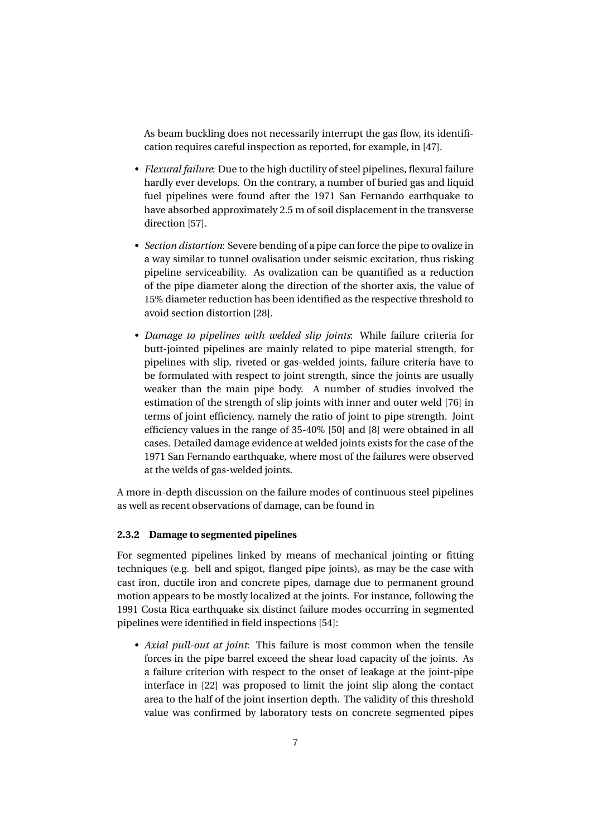As beam buckling does not necessarily interrupt the gas flow, its identification requires careful inspection as reported, for example, in [47].

- *Flexural failure*: Due to the high ductility of steel pipelines, flexural failure hardly ever develops. On the contrary, a number of buried gas and liquid fuel pipelines were found after the 1971 San Fernando earthquake to have absorbed approximately 2.5 m of soil displacement in the transverse direction [57].
- *Section distortion*: Severe bending of a pipe can force the pipe to ovalize in a way similar to tunnel ovalisation under seismic excitation, thus risking pipeline serviceability. As ovalization can be quantified as a reduction of the pipe diameter along the direction of the shorter axis, the value of 15% diameter reduction has been identified as the respective threshold to avoid section distortion [28].
- *Damage to pipelines with welded slip joints*: While failure criteria for butt-jointed pipelines are mainly related to pipe material strength, for pipelines with slip, riveted or gas-welded joints, failure criteria have to be formulated with respect to joint strength, since the joints are usually weaker than the main pipe body. A number of studies involved the estimation of the strength of slip joints with inner and outer weld [76] in terms of joint efficiency, namely the ratio of joint to pipe strength. Joint efficiency values in the range of 35-40% [50] and [8] were obtained in all cases. Detailed damage evidence at welded joints exists for the case of the 1971 San Fernando earthquake, where most of the failures were observed at the welds of gas-welded joints.

A more in-depth discussion on the failure modes of continuous steel pipelines as well as recent observations of damage, can be found in

#### **2.3.2 Damage to segmented pipelines**

For segmented pipelines linked by means of mechanical jointing or fitting techniques (e.g. bell and spigot, flanged pipe joints), as may be the case with cast iron, ductile iron and concrete pipes, damage due to permanent ground motion appears to be mostly localized at the joints. For instance, following the 1991 Costa Rica earthquake six distinct failure modes occurring in segmented pipelines were identified in field inspections [54]:

• *Axial pull-out at joint*: This failure is most common when the tensile forces in the pipe barrel exceed the shear load capacity of the joints. As a failure criterion with respect to the onset of leakage at the joint-pipe interface in [22] was proposed to limit the joint slip along the contact area to the half of the joint insertion depth. The validity of this threshold value was confirmed by laboratory tests on concrete segmented pipes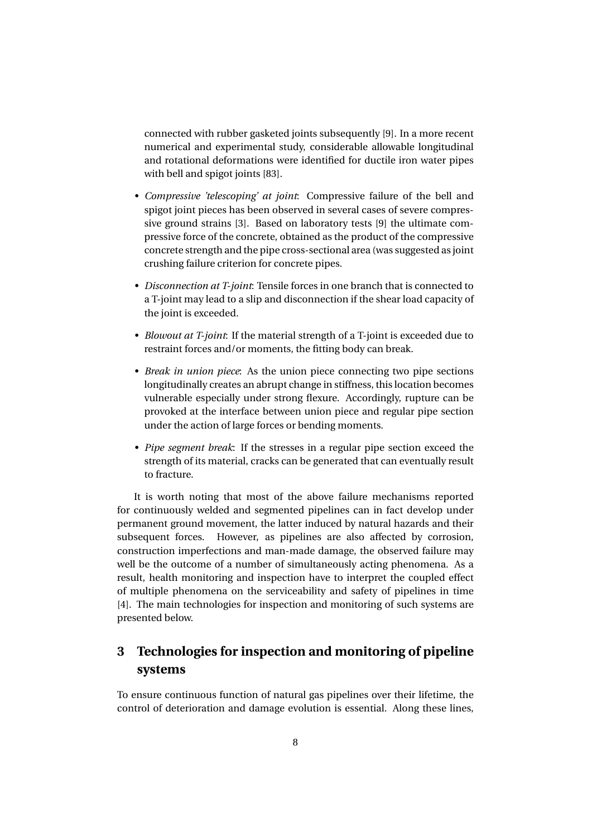connected with rubber gasketed joints subsequently [9]. In a more recent numerical and experimental study, considerable allowable longitudinal and rotational deformations were identified for ductile iron water pipes with bell and spigot joints [83].

- *Compressive 'telescoping' at joint*: Compressive failure of the bell and spigot joint pieces has been observed in several cases of severe compressive ground strains [3]. Based on laboratory tests [9] the ultimate compressive force of the concrete, obtained as the product of the compressive concrete strength and the pipe cross-sectional area (was suggested as joint crushing failure criterion for concrete pipes.
- *Disconnection at T-joint*: Tensile forces in one branch that is connected to a T-joint may lead to a slip and disconnection if the shear load capacity of the joint is exceeded.
- *Blowout at T-joint*: If the material strength of a T-joint is exceeded due to restraint forces and/or moments, the fitting body can break.
- *Break in union piece*: As the union piece connecting two pipe sections longitudinally creates an abrupt change in stiffness, this location becomes vulnerable especially under strong flexure. Accordingly, rupture can be provoked at the interface between union piece and regular pipe section under the action of large forces or bending moments.
- *Pipe segment break*: If the stresses in a regular pipe section exceed the strength of its material, cracks can be generated that can eventually result to fracture.

It is worth noting that most of the above failure mechanisms reported for continuously welded and segmented pipelines can in fact develop under permanent ground movement, the latter induced by natural hazards and their subsequent forces. However, as pipelines are also affected by corrosion, construction imperfections and man-made damage, the observed failure may well be the outcome of a number of simultaneously acting phenomena. As a result, health monitoring and inspection have to interpret the coupled effect of multiple phenomena on the serviceability and safety of pipelines in time [4]. The main technologies for inspection and monitoring of such systems are presented below.

# **3 Technologies for inspection and monitoring of pipeline systems**

To ensure continuous function of natural gas pipelines over their lifetime, the control of deterioration and damage evolution is essential. Along these lines,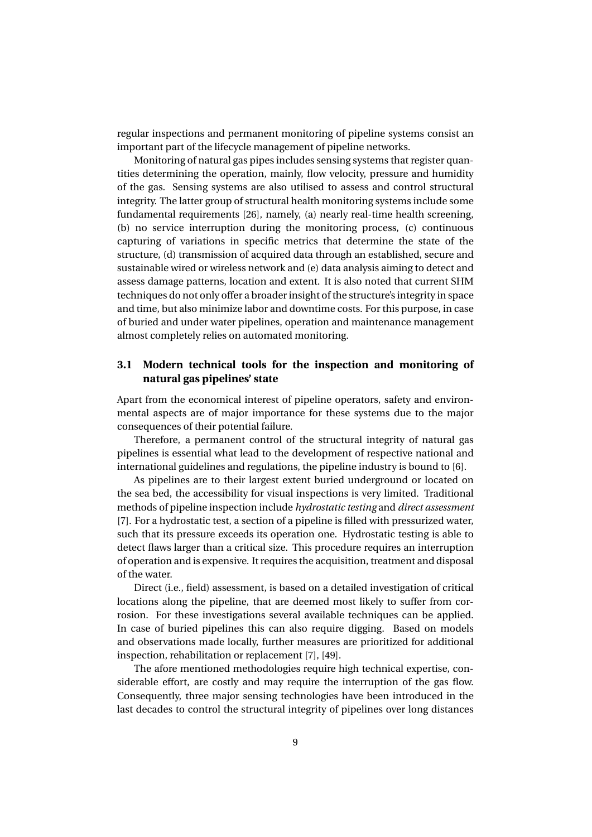regular inspections and permanent monitoring of pipeline systems consist an important part of the lifecycle management of pipeline networks.

Monitoring of natural gas pipes includes sensing systems that register quantities determining the operation, mainly, flow velocity, pressure and humidity of the gas. Sensing systems are also utilised to assess and control structural integrity. The latter group of structural health monitoring systems include some fundamental requirements [26], namely, (a) nearly real-time health screening, (b) no service interruption during the monitoring process, (c) continuous capturing of variations in specific metrics that determine the state of the structure, (d) transmission of acquired data through an established, secure and sustainable wired or wireless network and (e) data analysis aiming to detect and assess damage patterns, location and extent. It is also noted that current SHM techniques do not only offer a broader insight of the structure's integrity in space and time, but also minimize labor and downtime costs. For this purpose, in case of buried and under water pipelines, operation and maintenance management almost completely relies on automated monitoring.

## **3.1 Modern technical tools for the inspection and monitoring of natural gas pipelines' state**

Apart from the economical interest of pipeline operators, safety and environmental aspects are of major importance for these systems due to the major consequences of their potential failure.

Therefore, a permanent control of the structural integrity of natural gas pipelines is essential what lead to the development of respective national and international guidelines and regulations, the pipeline industry is bound to [6].

As pipelines are to their largest extent buried underground or located on the sea bed, the accessibility for visual inspections is very limited. Traditional methods of pipeline inspection include *hydrostatic testing* and *direct assessment* [7]. For a hydrostatic test, a section of a pipeline is filled with pressurized water, such that its pressure exceeds its operation one. Hydrostatic testing is able to detect flaws larger than a critical size. This procedure requires an interruption of operation and is expensive. It requires the acquisition, treatment and disposal of the water.

Direct (i.e., field) assessment, is based on a detailed investigation of critical locations along the pipeline, that are deemed most likely to suffer from corrosion. For these investigations several available techniques can be applied. In case of buried pipelines this can also require digging. Based on models and observations made locally, further measures are prioritized for additional inspection, rehabilitation or replacement [7], [49].

The afore mentioned methodologies require high technical expertise, considerable effort, are costly and may require the interruption of the gas flow. Consequently, three major sensing technologies have been introduced in the last decades to control the structural integrity of pipelines over long distances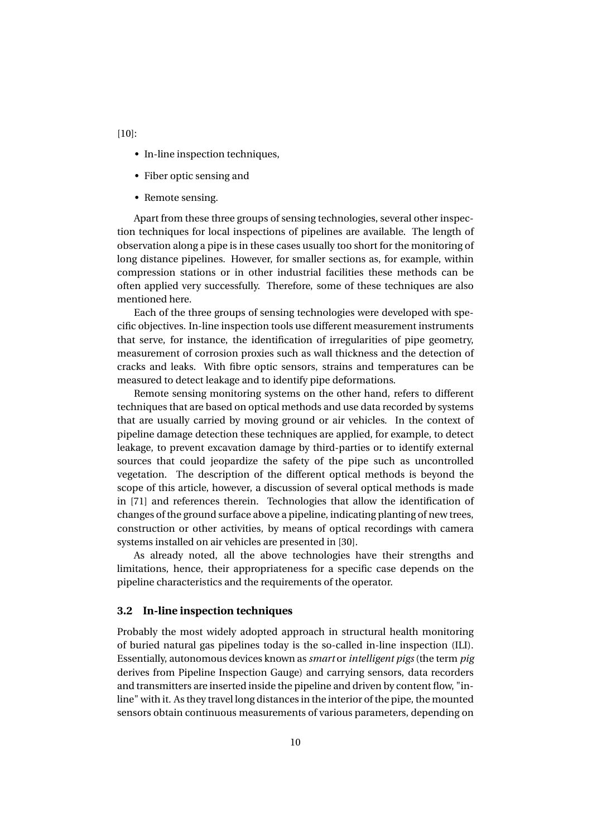- In-line inspection techniques,
- Fiber optic sensing and
- Remote sensing.

Apart from these three groups of sensing technologies, several other inspection techniques for local inspections of pipelines are available. The length of observation along a pipe is in these cases usually too short for the monitoring of long distance pipelines. However, for smaller sections as, for example, within compression stations or in other industrial facilities these methods can be often applied very successfully. Therefore, some of these techniques are also mentioned here.

Each of the three groups of sensing technologies were developed with specific objectives. In-line inspection tools use different measurement instruments that serve, for instance, the identification of irregularities of pipe geometry, measurement of corrosion proxies such as wall thickness and the detection of cracks and leaks. With fibre optic sensors, strains and temperatures can be measured to detect leakage and to identify pipe deformations.

Remote sensing monitoring systems on the other hand, refers to different techniques that are based on optical methods and use data recorded by systems that are usually carried by moving ground or air vehicles. In the context of pipeline damage detection these techniques are applied, for example, to detect leakage, to prevent excavation damage by third-parties or to identify external sources that could jeopardize the safety of the pipe such as uncontrolled vegetation. The description of the different optical methods is beyond the scope of this article, however, a discussion of several optical methods is made in [71] and references therein. Technologies that allow the identification of changes of the ground surface above a pipeline, indicating planting of new trees, construction or other activities, by means of optical recordings with camera systems installed on air vehicles are presented in [30].

As already noted, all the above technologies have their strengths and limitations, hence, their appropriateness for a specific case depends on the pipeline characteristics and the requirements of the operator.

#### **3.2 In-line inspection techniques**

Probably the most widely adopted approach in structural health monitoring of buried natural gas pipelines today is the so-called in-line inspection (ILI). Essentially, autonomous devices known as *smart* or *intelligent pigs* (the term *pig* derives from Pipeline Inspection Gauge) and carrying sensors, data recorders and transmitters are inserted inside the pipeline and driven by content flow, "inline" with it. As they travel long distances in the interior of the pipe, the mounted sensors obtain continuous measurements of various parameters, depending on

[10]: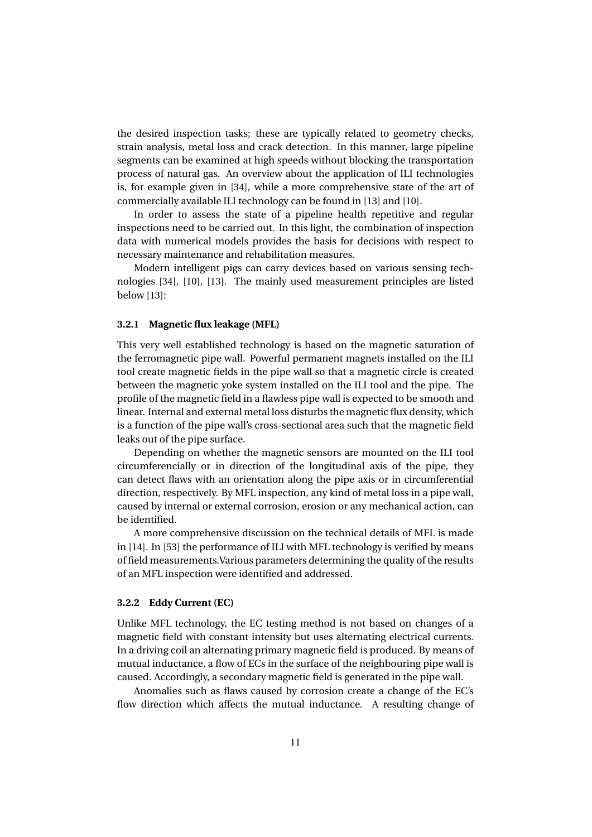the desired inspection tasks; these are typically related to geometry checks, strain analysis, metal loss and crack detection. In this manner, large pipeline segments can be examined at high speeds without blocking the transportation process of natural gas. An overview about the application of ILI technologies is, for example given in [34], while a more comprehensive state of the art of commercially available ILI technology can be found in [13] and [10].

In order to assess the state of a pipeline health repetitive and regular inspections need to be carried out. In this light, the combination of inspection data with numerical models provides the basis for decisions with respect to necessary maintenance and rehabilitation measures.

Modern intelligent pigs can carry devices based on various sensing technologies [34], [10], [13]. The mainly used measurement principles are listed below [13]:

#### **3.2.1 Magnetic flux leakage (MFL)**

This very well established technology is based on the magnetic saturation of the ferromagnetic pipe wall. Powerful permanent magnets installed on the ILI tool create magnetic fields in the pipe wall so that a magnetic circle is created between the magnetic yoke system installed on the ILI tool and the pipe. The profile of the magnetic field in a flawless pipe wall is expected to be smooth and linear. Internal and external metal loss disturbs the magnetic flux density, which is a function of the pipe wall's cross-sectional area such that the magnetic field leaks out of the pipe surface.

Depending on whether the magnetic sensors are mounted on the ILI tool circumferencially or in direction of the longitudinal axis of the pipe, they can detect flaws with an orientation along the pipe axis or in circumferential direction, respectively. By MFL inspection, any kind of metal loss in a pipe wall, caused by internal or external corrosion, erosion or any mechanical action, can be identified.

A more comprehensive discussion on the technical details of MFL is made in [14]. In [53] the performance of ILI with MFL technology is verified by means of field measurements.Various parameters determining the quality of the results of an MFL inspection were identified and addressed.

#### **3.2.2 Eddy Current (EC)**

Unlike MFL technology, the EC testing method is not based on changes of a magnetic field with constant intensity but uses alternating electrical currents. In a driving coil an alternating primary magnetic field is produced. By means of mutual inductance, a flow of ECs in the surface of the neighbouring pipe wall is caused. Accordingly, a secondary magnetic field is generated in the pipe wall.

Anomalies such as flaws caused by corrosion create a change of the EC's flow direction which affects the mutual inductance. A resulting change of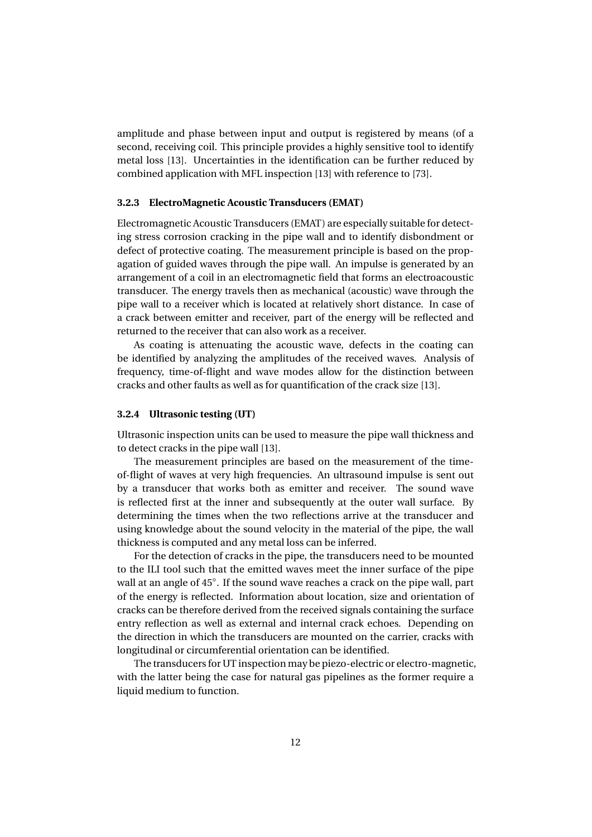amplitude and phase between input and output is registered by means (of a second, receiving coil. This principle provides a highly sensitive tool to identify metal loss [13]. Uncertainties in the identification can be further reduced by combined application with MFL inspection [13] with reference to [73].

#### **3.2.3 ElectroMagnetic Acoustic Transducers (EMAT)**

Electromagnetic Acoustic Transducers (EMAT) are especially suitable for detecting stress corrosion cracking in the pipe wall and to identify disbondment or defect of protective coating. The measurement principle is based on the propagation of guided waves through the pipe wall. An impulse is generated by an arrangement of a coil in an electromagnetic field that forms an electroacoustic transducer. The energy travels then as mechanical (acoustic) wave through the pipe wall to a receiver which is located at relatively short distance. In case of a crack between emitter and receiver, part of the energy will be reflected and returned to the receiver that can also work as a receiver.

As coating is attenuating the acoustic wave, defects in the coating can be identified by analyzing the amplitudes of the received waves. Analysis of frequency, time-of-flight and wave modes allow for the distinction between cracks and other faults as well as for quantification of the crack size [13].

#### **3.2.4 Ultrasonic testing (UT)**

Ultrasonic inspection units can be used to measure the pipe wall thickness and to detect cracks in the pipe wall [13].

The measurement principles are based on the measurement of the timeof-flight of waves at very high frequencies. An ultrasound impulse is sent out by a transducer that works both as emitter and receiver. The sound wave is reflected first at the inner and subsequently at the outer wall surface. By determining the times when the two reflections arrive at the transducer and using knowledge about the sound velocity in the material of the pipe, the wall thickness is computed and any metal loss can be inferred.

For the detection of cracks in the pipe, the transducers need to be mounted to the ILI tool such that the emitted waves meet the inner surface of the pipe wall at an angle of 45°. If the sound wave reaches a crack on the pipe wall, part of the energy is reflected. Information about location, size and orientation of cracks can be therefore derived from the received signals containing the surface entry reflection as well as external and internal crack echoes. Depending on the direction in which the transducers are mounted on the carrier, cracks with longitudinal or circumferential orientation can be identified.

The transducers for UT inspection may be piezo-electric or electro-magnetic, with the latter being the case for natural gas pipelines as the former require a liquid medium to function.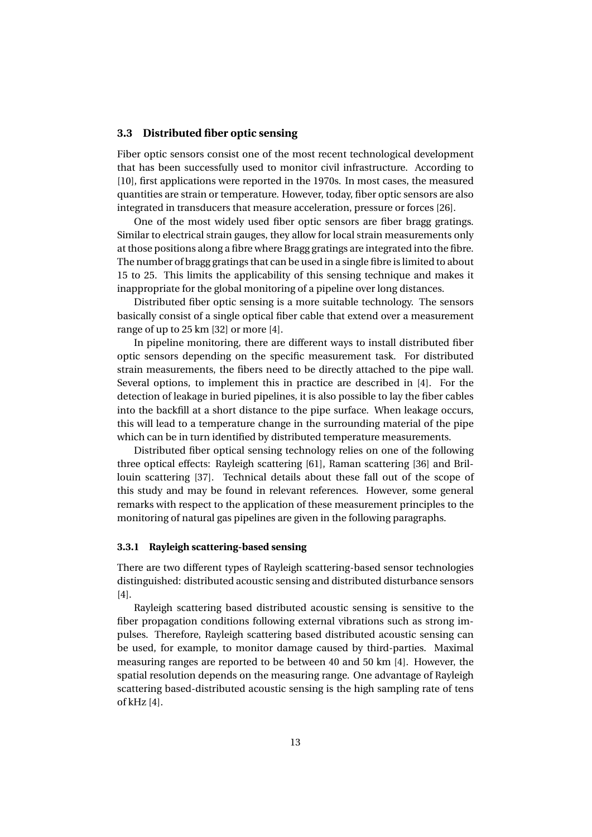#### **3.3 Distributed fiber optic sensing**

Fiber optic sensors consist one of the most recent technological development that has been successfully used to monitor civil infrastructure. According to [10], first applications were reported in the 1970s. In most cases, the measured quantities are strain or temperature. However, today, fiber optic sensors are also integrated in transducers that measure acceleration, pressure or forces [26].

One of the most widely used fiber optic sensors are fiber bragg gratings. Similar to electrical strain gauges, they allow for local strain measurements only at those positions along a fibre where Bragg gratings are integrated into the fibre. The number of bragg gratings that can be used in a single fibre is limited to about 15 to 25. This limits the applicability of this sensing technique and makes it inappropriate for the global monitoring of a pipeline over long distances.

Distributed fiber optic sensing is a more suitable technology. The sensors basically consist of a single optical fiber cable that extend over a measurement range of up to 25 km [32] or more [4].

In pipeline monitoring, there are different ways to install distributed fiber optic sensors depending on the specific measurement task. For distributed strain measurements, the fibers need to be directly attached to the pipe wall. Several options, to implement this in practice are described in [4]. For the detection of leakage in buried pipelines, it is also possible to lay the fiber cables into the backfill at a short distance to the pipe surface. When leakage occurs, this will lead to a temperature change in the surrounding material of the pipe which can be in turn identified by distributed temperature measurements.

Distributed fiber optical sensing technology relies on one of the following three optical effects: Rayleigh scattering [61], Raman scattering [36] and Brillouin scattering [37]. Technical details about these fall out of the scope of this study and may be found in relevant references. However, some general remarks with respect to the application of these measurement principles to the monitoring of natural gas pipelines are given in the following paragraphs.

#### **3.3.1 Rayleigh scattering-based sensing**

There are two different types of Rayleigh scattering-based sensor technologies distinguished: distributed acoustic sensing and distributed disturbance sensors [4].

Rayleigh scattering based distributed acoustic sensing is sensitive to the fiber propagation conditions following external vibrations such as strong impulses. Therefore, Rayleigh scattering based distributed acoustic sensing can be used, for example, to monitor damage caused by third-parties. Maximal measuring ranges are reported to be between 40 and 50 km [4]. However, the spatial resolution depends on the measuring range. One advantage of Rayleigh scattering based-distributed acoustic sensing is the high sampling rate of tens of kHz [4].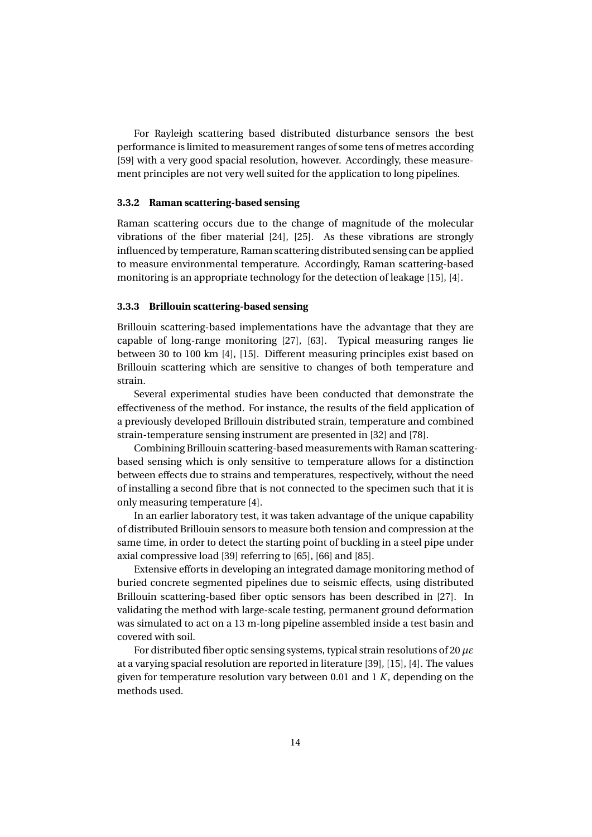For Rayleigh scattering based distributed disturbance sensors the best performance is limited to measurement ranges of some tens of metres according [59] with a very good spacial resolution, however. Accordingly, these measurement principles are not very well suited for the application to long pipelines.

#### **3.3.2 Raman scattering-based sensing**

Raman scattering occurs due to the change of magnitude of the molecular vibrations of the fiber material [24], [25]. As these vibrations are strongly influenced by temperature, Raman scattering distributed sensing can be applied to measure environmental temperature. Accordingly, Raman scattering-based monitoring is an appropriate technology for the detection of leakage [15], [4].

#### **3.3.3 Brillouin scattering-based sensing**

Brillouin scattering-based implementations have the advantage that they are capable of long-range monitoring [27], [63]. Typical measuring ranges lie between 30 to 100 km [4], [15]. Different measuring principles exist based on Brillouin scattering which are sensitive to changes of both temperature and strain.

Several experimental studies have been conducted that demonstrate the effectiveness of the method. For instance, the results of the field application of a previously developed Brillouin distributed strain, temperature and combined strain-temperature sensing instrument are presented in [32] and [78].

Combining Brillouin scattering-based measurements with Raman scatteringbased sensing which is only sensitive to temperature allows for a distinction between effects due to strains and temperatures, respectively, without the need of installing a second fibre that is not connected to the specimen such that it is only measuring temperature [4].

In an earlier laboratory test, it was taken advantage of the unique capability of distributed Brillouin sensors to measure both tension and compression at the same time, in order to detect the starting point of buckling in a steel pipe under axial compressive load [39] referring to [65], [66] and [85].

Extensive efforts in developing an integrated damage monitoring method of buried concrete segmented pipelines due to seismic effects, using distributed Brillouin scattering-based fiber optic sensors has been described in [27]. In validating the method with large-scale testing, permanent ground deformation was simulated to act on a 13 m-long pipeline assembled inside a test basin and covered with soil.

For distributed fiber optic sensing systems, typical strain resolutions of 20 *µε* at a varying spacial resolution are reported in literature [39], [15], [4]. The values given for temperature resolution vary between 0.01 and 1 *K*, depending on the methods used.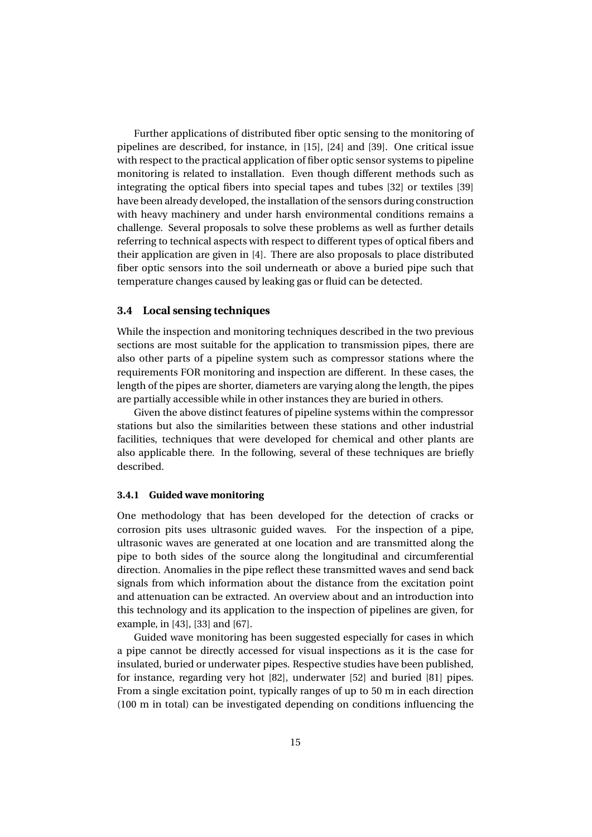Further applications of distributed fiber optic sensing to the monitoring of pipelines are described, for instance, in [15], [24] and [39]. One critical issue with respect to the practical application of fiber optic sensor systems to pipeline monitoring is related to installation. Even though different methods such as integrating the optical fibers into special tapes and tubes [32] or textiles [39] have been already developed, the installation of the sensors during construction with heavy machinery and under harsh environmental conditions remains a challenge. Several proposals to solve these problems as well as further details referring to technical aspects with respect to different types of optical fibers and their application are given in [4]. There are also proposals to place distributed fiber optic sensors into the soil underneath or above a buried pipe such that temperature changes caused by leaking gas or fluid can be detected.

### **3.4 Local sensing techniques**

While the inspection and monitoring techniques described in the two previous sections are most suitable for the application to transmission pipes, there are also other parts of a pipeline system such as compressor stations where the requirements FOR monitoring and inspection are different. In these cases, the length of the pipes are shorter, diameters are varying along the length, the pipes are partially accessible while in other instances they are buried in others.

Given the above distinct features of pipeline systems within the compressor stations but also the similarities between these stations and other industrial facilities, techniques that were developed for chemical and other plants are also applicable there. In the following, several of these techniques are briefly described.

#### **3.4.1 Guided wave monitoring**

One methodology that has been developed for the detection of cracks or corrosion pits uses ultrasonic guided waves. For the inspection of a pipe, ultrasonic waves are generated at one location and are transmitted along the pipe to both sides of the source along the longitudinal and circumferential direction. Anomalies in the pipe reflect these transmitted waves and send back signals from which information about the distance from the excitation point and attenuation can be extracted. An overview about and an introduction into this technology and its application to the inspection of pipelines are given, for example, in [43], [33] and [67].

Guided wave monitoring has been suggested especially for cases in which a pipe cannot be directly accessed for visual inspections as it is the case for insulated, buried or underwater pipes. Respective studies have been published, for instance, regarding very hot [82], underwater [52] and buried [81] pipes. From a single excitation point, typically ranges of up to 50 m in each direction (100 m in total) can be investigated depending on conditions influencing the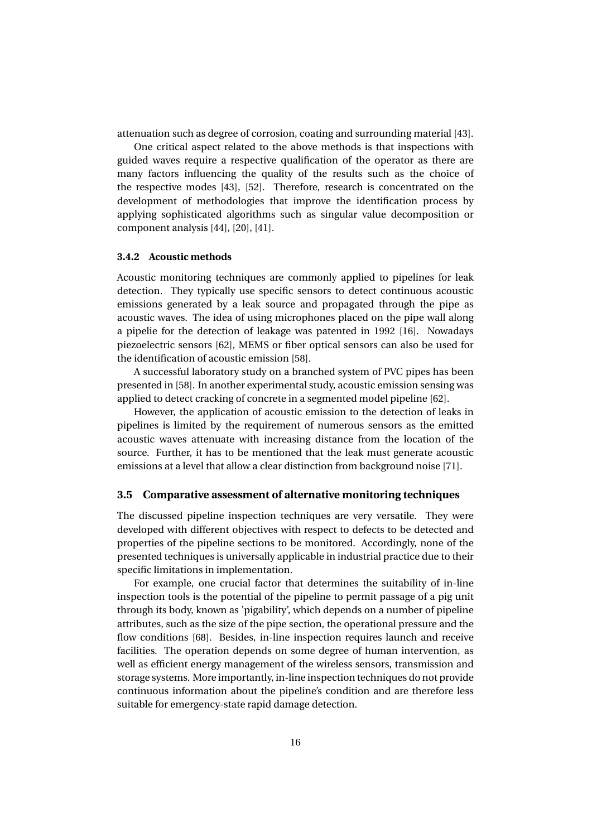attenuation such as degree of corrosion, coating and surrounding material [43].

One critical aspect related to the above methods is that inspections with guided waves require a respective qualification of the operator as there are many factors influencing the quality of the results such as the choice of the respective modes [43], [52]. Therefore, research is concentrated on the development of methodologies that improve the identification process by applying sophisticated algorithms such as singular value decomposition or component analysis [44], [20], [41].

#### **3.4.2 Acoustic methods**

Acoustic monitoring techniques are commonly applied to pipelines for leak detection. They typically use specific sensors to detect continuous acoustic emissions generated by a leak source and propagated through the pipe as acoustic waves. The idea of using microphones placed on the pipe wall along a pipelie for the detection of leakage was patented in 1992 [16]. Nowadays piezoelectric sensors [62], MEMS or fiber optical sensors can also be used for the identification of acoustic emission [58].

A successful laboratory study on a branched system of PVC pipes has been presented in [58]. In another experimental study, acoustic emission sensing was applied to detect cracking of concrete in a segmented model pipeline [62].

However, the application of acoustic emission to the detection of leaks in pipelines is limited by the requirement of numerous sensors as the emitted acoustic waves attenuate with increasing distance from the location of the source. Further, it has to be mentioned that the leak must generate acoustic emissions at a level that allow a clear distinction from background noise [71].

#### **3.5 Comparative assessment of alternative monitoring techniques**

The discussed pipeline inspection techniques are very versatile. They were developed with different objectives with respect to defects to be detected and properties of the pipeline sections to be monitored. Accordingly, none of the presented techniques is universally applicable in industrial practice due to their specific limitations in implementation.

For example, one crucial factor that determines the suitability of in-line inspection tools is the potential of the pipeline to permit passage of a pig unit through its body, known as 'pigability', which depends on a number of pipeline attributes, such as the size of the pipe section, the operational pressure and the flow conditions [68]. Besides, in-line inspection requires launch and receive facilities. The operation depends on some degree of human intervention, as well as efficient energy management of the wireless sensors, transmission and storage systems. More importantly, in-line inspection techniques do not provide continuous information about the pipeline's condition and are therefore less suitable for emergency-state rapid damage detection.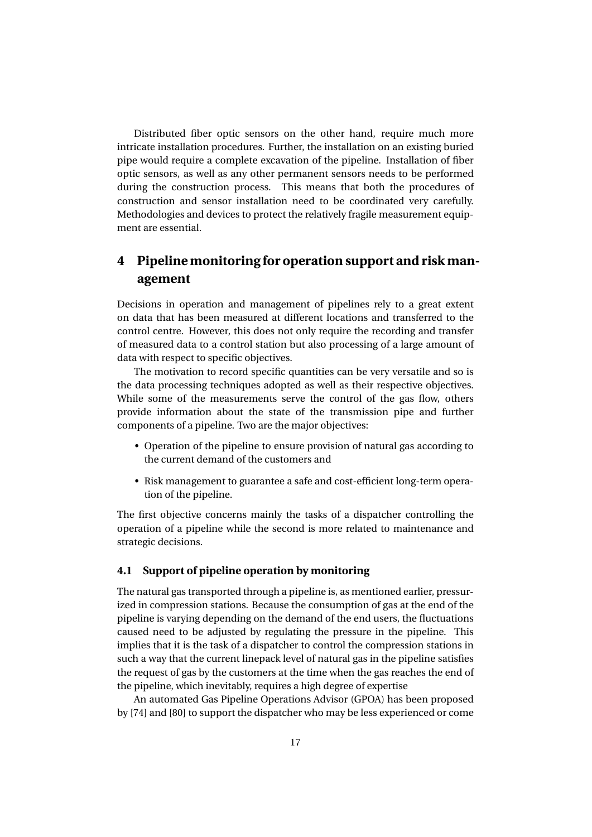Distributed fiber optic sensors on the other hand, require much more intricate installation procedures. Further, the installation on an existing buried pipe would require a complete excavation of the pipeline. Installation of fiber optic sensors, as well as any other permanent sensors needs to be performed during the construction process. This means that both the procedures of construction and sensor installation need to be coordinated very carefully. Methodologies and devices to protect the relatively fragile measurement equipment are essential.

# **4 Pipeline monitoring for operation support and risk management**

Decisions in operation and management of pipelines rely to a great extent on data that has been measured at different locations and transferred to the control centre. However, this does not only require the recording and transfer of measured data to a control station but also processing of a large amount of data with respect to specific objectives.

The motivation to record specific quantities can be very versatile and so is the data processing techniques adopted as well as their respective objectives. While some of the measurements serve the control of the gas flow, others provide information about the state of the transmission pipe and further components of a pipeline. Two are the major objectives:

- Operation of the pipeline to ensure provision of natural gas according to the current demand of the customers and
- Risk management to guarantee a safe and cost-efficient long-term operation of the pipeline.

The first objective concerns mainly the tasks of a dispatcher controlling the operation of a pipeline while the second is more related to maintenance and strategic decisions.

### **4.1 Support of pipeline operation by monitoring**

The natural gas transported through a pipeline is, as mentioned earlier, pressurized in compression stations. Because the consumption of gas at the end of the pipeline is varying depending on the demand of the end users, the fluctuations caused need to be adjusted by regulating the pressure in the pipeline. This implies that it is the task of a dispatcher to control the compression stations in such a way that the current linepack level of natural gas in the pipeline satisfies the request of gas by the customers at the time when the gas reaches the end of the pipeline, which inevitably, requires a high degree of expertise

An automated Gas Pipeline Operations Advisor (GPOA) has been proposed by [74] and [80] to support the dispatcher who may be less experienced or come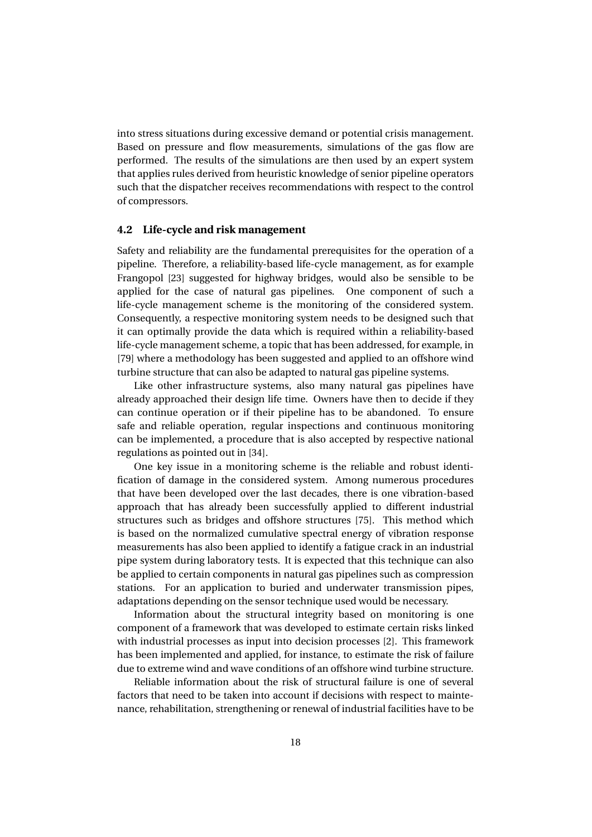into stress situations during excessive demand or potential crisis management. Based on pressure and flow measurements, simulations of the gas flow are performed. The results of the simulations are then used by an expert system that applies rules derived from heuristic knowledge of senior pipeline operators such that the dispatcher receives recommendations with respect to the control of compressors.

#### **4.2 Life-cycle and risk management**

Safety and reliability are the fundamental prerequisites for the operation of a pipeline. Therefore, a reliability-based life-cycle management, as for example Frangopol [23] suggested for highway bridges, would also be sensible to be applied for the case of natural gas pipelines. One component of such a life-cycle management scheme is the monitoring of the considered system. Consequently, a respective monitoring system needs to be designed such that it can optimally provide the data which is required within a reliability-based life-cycle management scheme, a topic that has been addressed, for example, in [79] where a methodology has been suggested and applied to an offshore wind turbine structure that can also be adapted to natural gas pipeline systems.

Like other infrastructure systems, also many natural gas pipelines have already approached their design life time. Owners have then to decide if they can continue operation or if their pipeline has to be abandoned. To ensure safe and reliable operation, regular inspections and continuous monitoring can be implemented, a procedure that is also accepted by respective national regulations as pointed out in [34].

One key issue in a monitoring scheme is the reliable and robust identification of damage in the considered system. Among numerous procedures that have been developed over the last decades, there is one vibration-based approach that has already been successfully applied to different industrial structures such as bridges and offshore structures [75]. This method which is based on the normalized cumulative spectral energy of vibration response measurements has also been applied to identify a fatigue crack in an industrial pipe system during laboratory tests. It is expected that this technique can also be applied to certain components in natural gas pipelines such as compression stations. For an application to buried and underwater transmission pipes, adaptations depending on the sensor technique used would be necessary.

Information about the structural integrity based on monitoring is one component of a framework that was developed to estimate certain risks linked with industrial processes as input into decision processes [2]. This framework has been implemented and applied, for instance, to estimate the risk of failure due to extreme wind and wave conditions of an offshore wind turbine structure.

Reliable information about the risk of structural failure is one of several factors that need to be taken into account if decisions with respect to maintenance, rehabilitation, strengthening or renewal of industrial facilities have to be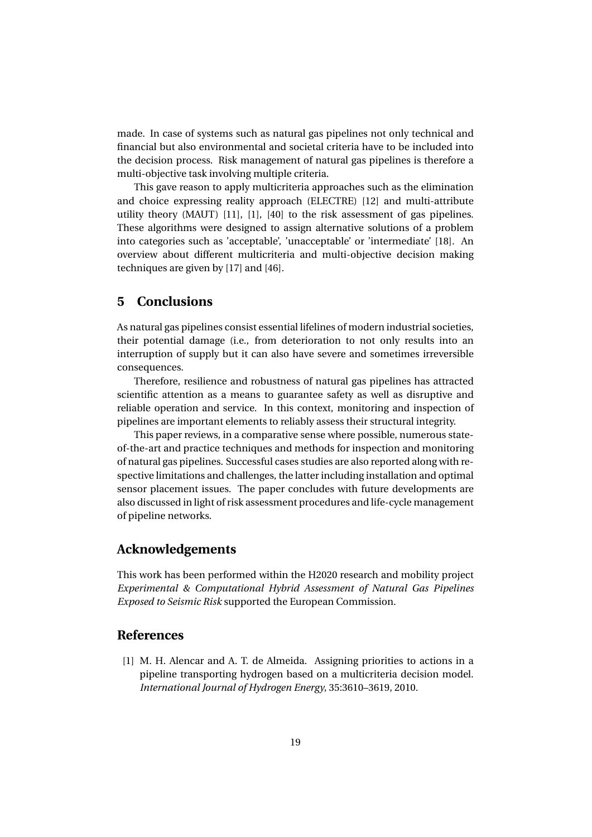made. In case of systems such as natural gas pipelines not only technical and financial but also environmental and societal criteria have to be included into the decision process. Risk management of natural gas pipelines is therefore a multi-objective task involving multiple criteria.

This gave reason to apply multicriteria approaches such as the elimination and choice expressing reality approach (ELECTRE) [12] and multi-attribute utility theory (MAUT) [11], [1], [40] to the risk assessment of gas pipelines. These algorithms were designed to assign alternative solutions of a problem into categories such as 'acceptable', 'unacceptable' or 'intermediate' [18]. An overview about different multicriteria and multi-objective decision making techniques are given by [17] and [46].

# **5 Conclusions**

As natural gas pipelines consist essential lifelines of modern industrial societies, their potential damage (i.e., from deterioration to not only results into an interruption of supply but it can also have severe and sometimes irreversible consequences.

Therefore, resilience and robustness of natural gas pipelines has attracted scientific attention as a means to guarantee safety as well as disruptive and reliable operation and service. In this context, monitoring and inspection of pipelines are important elements to reliably assess their structural integrity.

This paper reviews, in a comparative sense where possible, numerous stateof-the-art and practice techniques and methods for inspection and monitoring of natural gas pipelines. Successful cases studies are also reported along with respective limitations and challenges, the latter including installation and optimal sensor placement issues. The paper concludes with future developments are also discussed in light of risk assessment procedures and life-cycle management of pipeline networks.

### **Acknowledgements**

This work has been performed within the H2020 research and mobility project *Experimental & Computational Hybrid Assessment of Natural Gas Pipelines Exposed to Seismic Risk* supported the European Commission.

### **References**

[1] M. H. Alencar and A. T. de Almeida. Assigning priorities to actions in a pipeline transporting hydrogen based on a multicriteria decision model. *International Journal of Hydrogen Energy*, 35:3610–3619, 2010.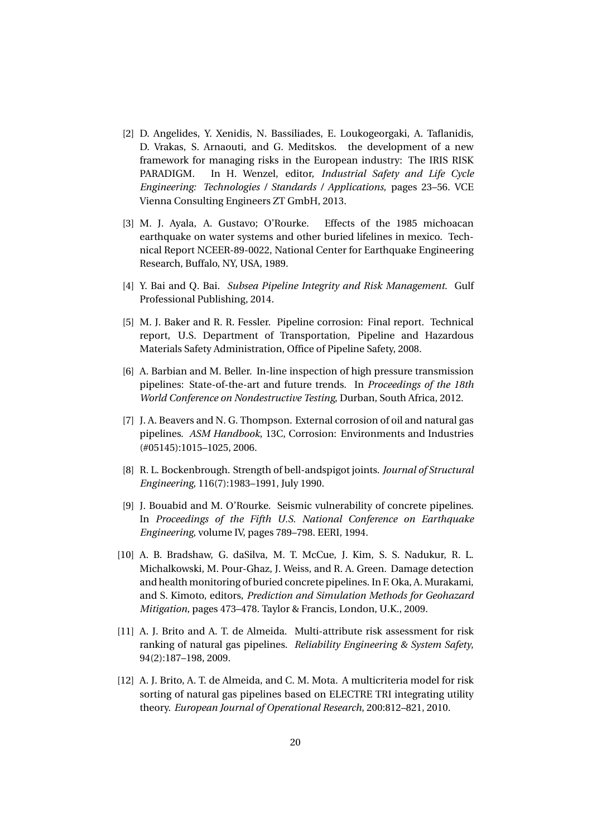- [2] D. Angelides, Y. Xenidis, N. Bassiliades, E. Loukogeorgaki, A. Taflanidis, D. Vrakas, S. Arnaouti, and G. Meditskos. the development of a new framework for managing risks in the European industry: The IRIS RISK PARADIGM. In H. Wenzel, editor, *Industrial Safety and Life Cycle Engineering: Technologies / Standards / Applications*, pages 23–56. VCE Vienna Consulting Engineers ZT GmbH, 2013.
- [3] M. J. Ayala, A. Gustavo; O'Rourke. Effects of the 1985 michoacan earthquake on water systems and other buried lifelines in mexico. Technical Report NCEER-89-0022, National Center for Earthquake Engineering Research, Buffalo, NY, USA, 1989.
- [4] Y. Bai and Q. Bai. *Subsea Pipeline Integrity and Risk Management*. Gulf Professional Publishing, 2014.
- [5] M. J. Baker and R. R. Fessler. Pipeline corrosion: Final report. Technical report, U.S. Department of Transportation, Pipeline and Hazardous Materials Safety Administration, Office of Pipeline Safety, 2008.
- [6] A. Barbian and M. Beller. In-line inspection of high pressure transmission pipelines: State-of-the-art and future trends. In *Proceedings of the 18th World Conference on Nondestructive Testing*, Durban, South Africa, 2012.
- [7] J. A. Beavers and N. G. Thompson. External corrosion of oil and natural gas pipelines. *ASM Handbook*, 13C, Corrosion: Environments and Industries (#05145):1015–1025, 2006.
- [8] R. L. Bockenbrough. Strength of bell-andspigot joints. *Journal of Structural Engineering*, 116(7):1983–1991, July 1990.
- [9] J. Bouabid and M. O'Rourke. Seismic vulnerability of concrete pipelines. In *Proceedings of the Fifth U.S. National Conference on Earthquake Engineering*, volume IV, pages 789–798. EERI, 1994.
- [10] A. B. Bradshaw, G. daSilva, M. T. McCue, J. Kim, S. S. Nadukur, R. L. Michalkowski, M. Pour-Ghaz, J. Weiss, and R. A. Green. Damage detection and health monitoring of buried concrete pipelines. In F. Oka, A. Murakami, and S. Kimoto, editors, *Prediction and Simulation Methods for Geohazard Mitigation*, pages 473–478. Taylor & Francis, London, U.K., 2009.
- [11] A. J. Brito and A. T. de Almeida. Multi-attribute risk assessment for risk ranking of natural gas pipelines. *Reliability Engineering & System Safety*, 94(2):187–198, 2009.
- [12] A. J. Brito, A. T. de Almeida, and C. M. Mota. A multicriteria model for risk sorting of natural gas pipelines based on ELECTRE TRI integrating utility theory. *European Journal of Operational Research*, 200:812–821, 2010.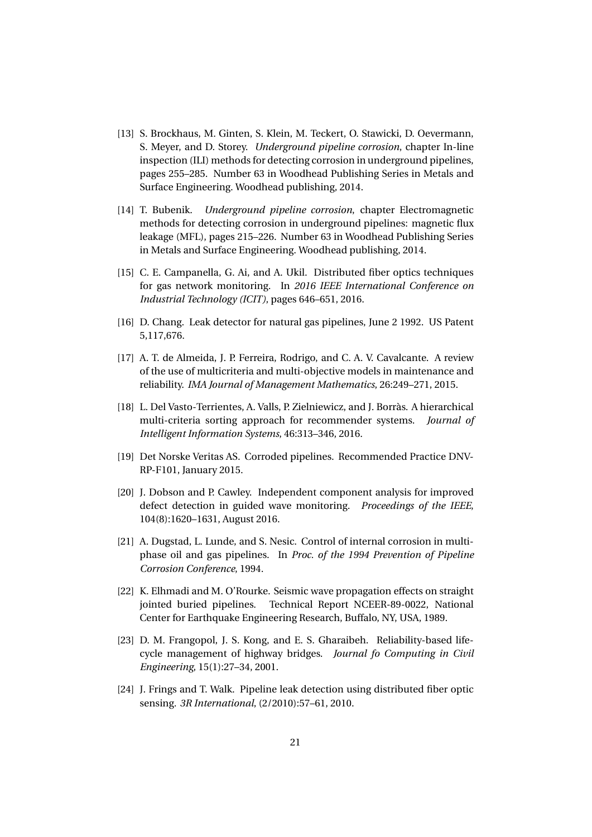- [13] S. Brockhaus, M. Ginten, S. Klein, M. Teckert, O. Stawicki, D. Oevermann, S. Meyer, and D. Storey. *Underground pipeline corrosion*, chapter In-line inspection (ILI) methods for detecting corrosion in underground pipelines, pages 255–285. Number 63 in Woodhead Publishing Series in Metals and Surface Engineering. Woodhead publishing, 2014.
- [14] T. Bubenik. *Underground pipeline corrosion*, chapter Electromagnetic methods for detecting corrosion in underground pipelines: magnetic flux leakage (MFL), pages 215–226. Number 63 in Woodhead Publishing Series in Metals and Surface Engineering. Woodhead publishing, 2014.
- [15] C. E. Campanella, G. Ai, and A. Ukil. Distributed fiber optics techniques for gas network monitoring. In *2016 IEEE International Conference on Industrial Technology (ICIT)*, pages 646–651, 2016.
- [16] D. Chang. Leak detector for natural gas pipelines, June 2 1992. US Patent 5,117,676.
- [17] A. T. de Almeida, J. P. Ferreira, Rodrigo, and C. A. V. Cavalcante. A review of the use of multicriteria and multi-objective models in maintenance and reliability. *IMA Journal of Management Mathematics*, 26:249–271, 2015.
- [18] L. Del Vasto-Terrientes, A. Valls, P. Zielniewicz, and J. Borràs. A hierarchical multi-criteria sorting approach for recommender systems. *Journal of Intelligent Information Systems*, 46:313–346, 2016.
- [19] Det Norske Veritas AS. Corroded pipelines. Recommended Practice DNV-RP-F101, January 2015.
- [20] J. Dobson and P. Cawley. Independent component analysis for improved defect detection in guided wave monitoring. *Proceedings of the IEEE*, 104(8):1620–1631, August 2016.
- [21] A. Dugstad, L. Lunde, and S. Nesic. Control of internal corrosion in multiphase oil and gas pipelines. In *Proc. of the 1994 Prevention of Pipeline Corrosion Conference*, 1994.
- [22] K. Elhmadi and M. O'Rourke. Seismic wave propagation effects on straight jointed buried pipelines. Technical Report NCEER-89-0022, National Center for Earthquake Engineering Research, Buffalo, NY, USA, 1989.
- [23] D. M. Frangopol, J. S. Kong, and E. S. Gharaibeh. Reliability-based lifecycle management of highway bridges. *Journal fo Computing in Civil Engineering*, 15(1):27–34, 2001.
- [24] J. Frings and T. Walk. Pipeline leak detection using distributed fiber optic sensing. *3R International*, (2/2010):57–61, 2010.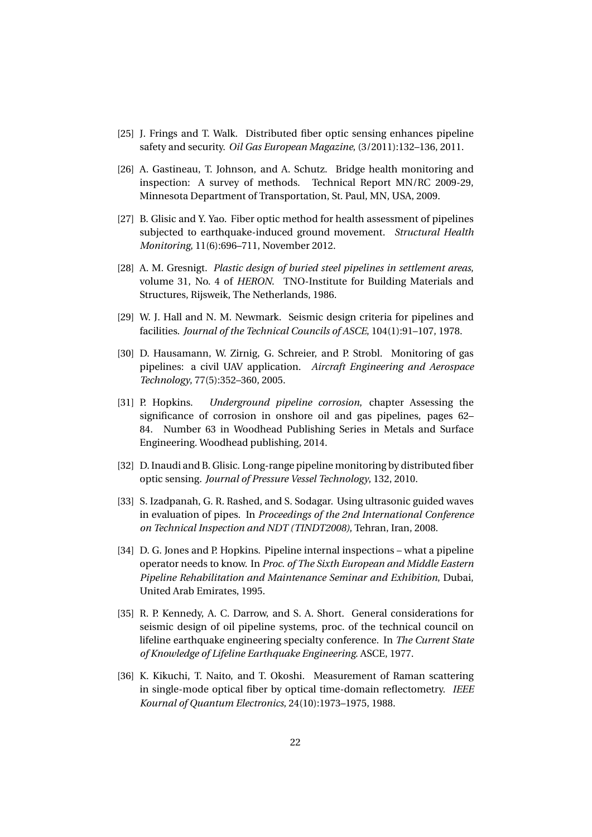- [25] J. Frings and T. Walk. Distributed fiber optic sensing enhances pipeline safety and security. *Oil Gas European Magazine*, (3/2011):132–136, 2011.
- [26] A. Gastineau, T. Johnson, and A. Schutz. Bridge health monitoring and inspection: A survey of methods. Technical Report MN/RC 2009-29, Minnesota Department of Transportation, St. Paul, MN, USA, 2009.
- [27] B. Glisic and Y. Yao. Fiber optic method for health assessment of pipelines subjected to earthquake-induced ground movement. *Structural Health Monitoring*, 11(6):696–711, November 2012.
- [28] A. M. Gresnigt. *Plastic design of buried steel pipelines in settlement areas*, volume 31, No. 4 of *HERON*. TNO-Institute for Building Materials and Structures, Rijsweik, The Netherlands, 1986.
- [29] W. J. Hall and N. M. Newmark. Seismic design criteria for pipelines and facilities. *Journal of the Technical Councils of ASCE*, 104(1):91–107, 1978.
- [30] D. Hausamann, W. Zirnig, G. Schreier, and P. Strobl. Monitoring of gas pipelines: a civil UAV application. *Aircraft Engineering and Aerospace Technology*, 77(5):352–360, 2005.
- [31] P. Hopkins. *Underground pipeline corrosion*, chapter Assessing the significance of corrosion in onshore oil and gas pipelines, pages 62– 84. Number 63 in Woodhead Publishing Series in Metals and Surface Engineering. Woodhead publishing, 2014.
- [32] D. Inaudi and B. Glisic. Long-range pipeline monitoring by distributed fiber optic sensing. *Journal of Pressure Vessel Technology*, 132, 2010.
- [33] S. Izadpanah, G. R. Rashed, and S. Sodagar. Using ultrasonic guided waves in evaluation of pipes. In *Proceedings of the 2nd International Conference on Technical Inspection and NDT (TINDT2008)*, Tehran, Iran, 2008.
- [34] D. G. Jones and P. Hopkins. Pipeline internal inspections what a pipeline operator needs to know. In *Proc. of The Sixth European and Middle Eastern Pipeline Rehabilitation and Maintenance Seminar and Exhibition*, Dubai, United Arab Emirates, 1995.
- [35] R. P. Kennedy, A. C. Darrow, and S. A. Short. General considerations for seismic design of oil pipeline systems, proc. of the technical council on lifeline earthquake engineering specialty conference. In *The Current State of Knowledge of Lifeline Earthquake Engineering*. ASCE, 1977.
- [36] K. Kikuchi, T. Naito, and T. Okoshi. Measurement of Raman scattering in single-mode optical fiber by optical time-domain reflectometry. *IEEE Kournal of Quantum Electronics*, 24(10):1973–1975, 1988.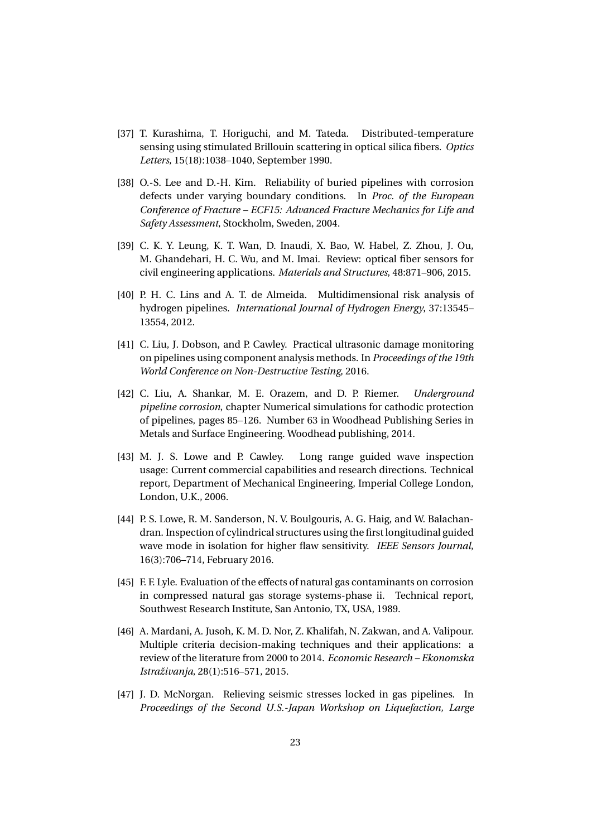- [37] T. Kurashima, T. Horiguchi, and M. Tateda. Distributed-temperature sensing using stimulated Brillouin scattering in optical silica fibers. *Optics Letters*, 15(18):1038–1040, September 1990.
- [38] O.-S. Lee and D.-H. Kim. Reliability of buried pipelines with corrosion defects under varying boundary conditions. In *Proc. of the European Conference of Fracture – ECF15: Advanced Fracture Mechanics for Life and Safety Assessment*, Stockholm, Sweden, 2004.
- [39] C. K. Y. Leung, K. T. Wan, D. Inaudi, X. Bao, W. Habel, Z. Zhou, J. Ou, M. Ghandehari, H. C. Wu, and M. Imai. Review: optical fiber sensors for civil engineering applications. *Materials and Structures*, 48:871–906, 2015.
- [40] P. H. C. Lins and A. T. de Almeida. Multidimensional risk analysis of hydrogen pipelines. *International Journal of Hydrogen Energy*, 37:13545– 13554, 2012.
- [41] C. Liu, J. Dobson, and P. Cawley. Practical ultrasonic damage monitoring on pipelines using component analysis methods. In *Proceedings of the 19th World Conference on Non-Destructive Testing*, 2016.
- [42] C. Liu, A. Shankar, M. E. Orazem, and D. P. Riemer. *Underground pipeline corrosion*, chapter Numerical simulations for cathodic protection of pipelines, pages 85–126. Number 63 in Woodhead Publishing Series in Metals and Surface Engineering. Woodhead publishing, 2014.
- [43] M. J. S. Lowe and P. Cawley. Long range guided wave inspection usage: Current commercial capabilities and research directions. Technical report, Department of Mechanical Engineering, Imperial College London, London, U.K., 2006.
- [44] P. S. Lowe, R. M. Sanderson, N. V. Boulgouris, A. G. Haig, and W. Balachandran. Inspection of cylindrical structures using the first longitudinal guided wave mode in isolation for higher flaw sensitivity. *IEEE Sensors Journal*, 16(3):706–714, February 2016.
- [45] F. F. Lyle. Evaluation of the effects of natural gas contaminants on corrosion in compressed natural gas storage systems-phase ii. Technical report, Southwest Research Institute, San Antonio, TX, USA, 1989.
- [46] A. Mardani, A. Jusoh, K. M. D. Nor, Z. Khalifah, N. Zakwan, and A. Valipour. Multiple criteria decision-making techniques and their applications: a review of the literature from 2000 to 2014. *Economic Research – Ekonomska Istraživanja*, 28(1):516–571, 2015.
- [47] J. D. McNorgan. Relieving seismic stresses locked in gas pipelines. In *Proceedings of the Second U.S.-Japan Workshop on Liquefaction, Large*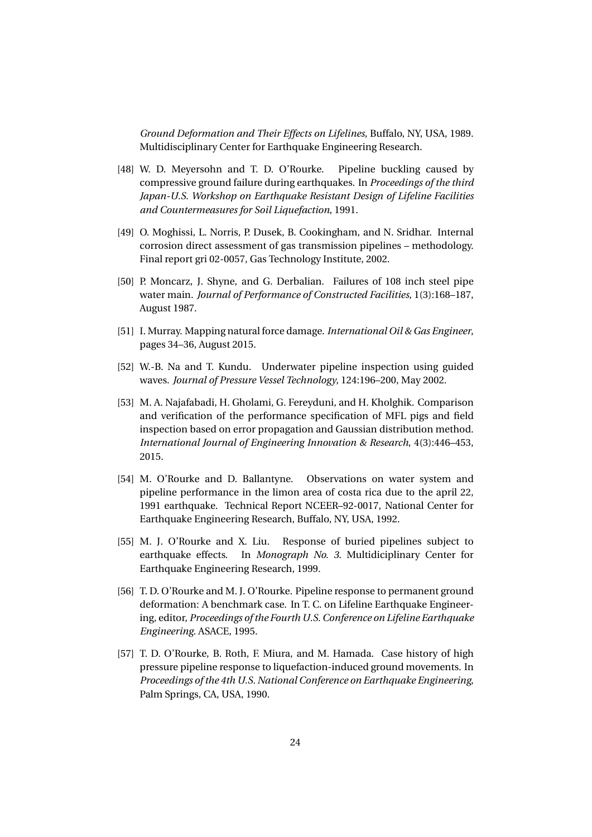*Ground Deformation and Their Effects on Lifelines*, Buffalo, NY, USA, 1989. Multidisciplinary Center for Earthquake Engineering Research.

- [48] W. D. Meyersohn and T. D. O'Rourke. Pipeline buckling caused by compressive ground failure during earthquakes. In *Proceedings of the third Japan-U.S. Workshop on Earthquake Resistant Design of Lifeline Facilities and Countermeasures for Soil Liquefaction*, 1991.
- [49] O. Moghissi, L. Norris, P. Dusek, B. Cookingham, and N. Sridhar. Internal corrosion direct assessment of gas transmission pipelines – methodology. Final report gri 02-0057, Gas Technology Institute, 2002.
- [50] P. Moncarz, J. Shyne, and G. Derbalian. Failures of 108 inch steel pipe water main. *Journal of Performance of Constructed Facilities*, 1(3):168–187, August 1987.
- [51] I. Murray. Mapping natural force damage. *International Oil & Gas Engineer*, pages 34–36, August 2015.
- [52] W.-B. Na and T. Kundu. Underwater pipeline inspection using guided waves. *Journal of Pressure Vessel Technology*, 124:196–200, May 2002.
- [53] M. A. Najafabadi, H. Gholami, G. Fereyduni, and H. Kholghik. Comparison and verification of the performance specification of MFL pigs and field inspection based on error propagation and Gaussian distribution method. *International Journal of Engineering Innovation & Research*, 4(3):446–453, 2015.
- [54] M. O'Rourke and D. Ballantyne. Observations on water system and pipeline performance in the limon area of costa rica due to the april 22, 1991 earthquake. Technical Report NCEER–92-0017, National Center for Earthquake Engineering Research, Buffalo, NY, USA, 1992.
- [55] M. J. O'Rourke and X. Liu. Response of buried pipelines subject to earthquake effects. In *Monograph No. 3*. Multidiciplinary Center for Earthquake Engineering Research, 1999.
- [56] T. D. O'Rourke and M. J. O'Rourke. Pipeline response to permanent ground deformation: A benchmark case. In T. C. on Lifeline Earthquake Engineering, editor, *Proceedings of the Fourth U.S. Conference on Lifeline Earthquake Engineering*. ASACE, 1995.
- [57] T. D. O'Rourke, B. Roth, F. Miura, and M. Hamada. Case history of high pressure pipeline response to liquefaction-induced ground movements. In *Proceedings of the 4th U.S. National Conference on Earthquake Engineering*, Palm Springs, CA, USA, 1990.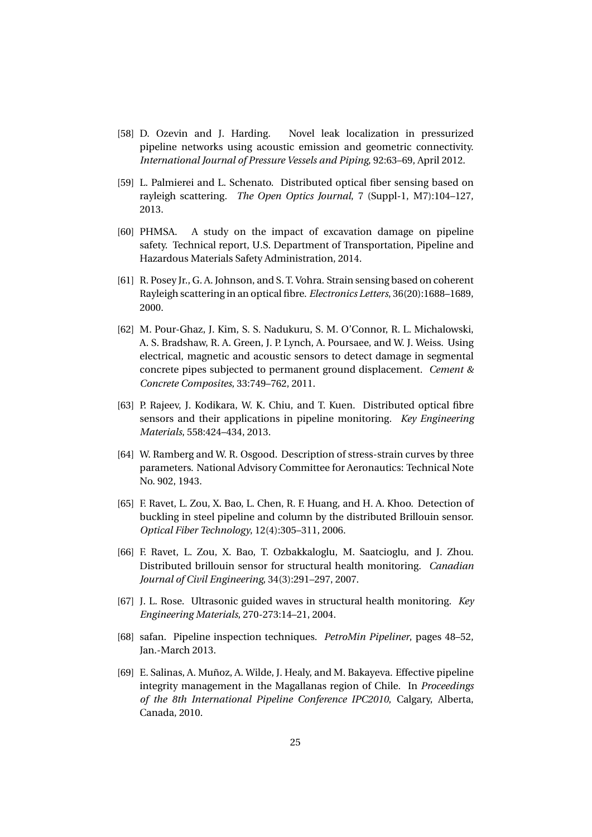- [58] D. Ozevin and J. Harding. Novel leak localization in pressurized pipeline networks using acoustic emission and geometric connectivity. *International Journal of Pressure Vessels and Piping*, 92:63–69, April 2012.
- [59] L. Palmierei and L. Schenato. Distributed optical fiber sensing based on rayleigh scattering. *The Open Optics Journal*, 7 (Suppl-1, M7):104–127, 2013.
- [60] PHMSA. A study on the impact of excavation damage on pipeline safety. Technical report, U.S. Department of Transportation, Pipeline and Hazardous Materials Safety Administration, 2014.
- [61] R. Posey Jr., G. A. Johnson, and S. T. Vohra. Strain sensing based on coherent Rayleigh scattering in an optical fibre. *Electronics Letters*, 36(20):1688–1689, 2000.
- [62] M. Pour-Ghaz, J. Kim, S. S. Nadukuru, S. M. O'Connor, R. L. Michalowski, A. S. Bradshaw, R. A. Green, J. P. Lynch, A. Poursaee, and W. J. Weiss. Using electrical, magnetic and acoustic sensors to detect damage in segmental concrete pipes subjected to permanent ground displacement. *Cement & Concrete Composites*, 33:749–762, 2011.
- [63] P. Rajeev, J. Kodikara, W. K. Chiu, and T. Kuen. Distributed optical fibre sensors and their applications in pipeline monitoring. *Key Engineering Materials*, 558:424–434, 2013.
- [64] W. Ramberg and W. R. Osgood. Description of stress-strain curves by three parameters. National Advisory Committee for Aeronautics: Technical Note No. 902, 1943.
- [65] F. Ravet, L. Zou, X. Bao, L. Chen, R. F. Huang, and H. A. Khoo. Detection of buckling in steel pipeline and column by the distributed Brillouin sensor. *Optical Fiber Technology*, 12(4):305–311, 2006.
- [66] F. Ravet, L. Zou, X. Bao, T. Ozbakkaloglu, M. Saatcioglu, and J. Zhou. Distributed brillouin sensor for structural health monitoring. *Canadian Journal of Civil Engineering*, 34(3):291–297, 2007.
- [67] J. L. Rose. Ultrasonic guided waves in structural health monitoring. *Key Engineering Materials*, 270-273:14–21, 2004.
- [68] safan. Pipeline inspection techniques. *PetroMin Pipeliner*, pages 48–52, Jan.-March 2013.
- [69] E. Salinas, A. Muñoz, A. Wilde, J. Healy, and M. Bakayeva. Effective pipeline integrity management in the Magallanas region of Chile. In *Proceedings of the 8th International Pipeline Conference IPC2010*, Calgary, Alberta, Canada, 2010.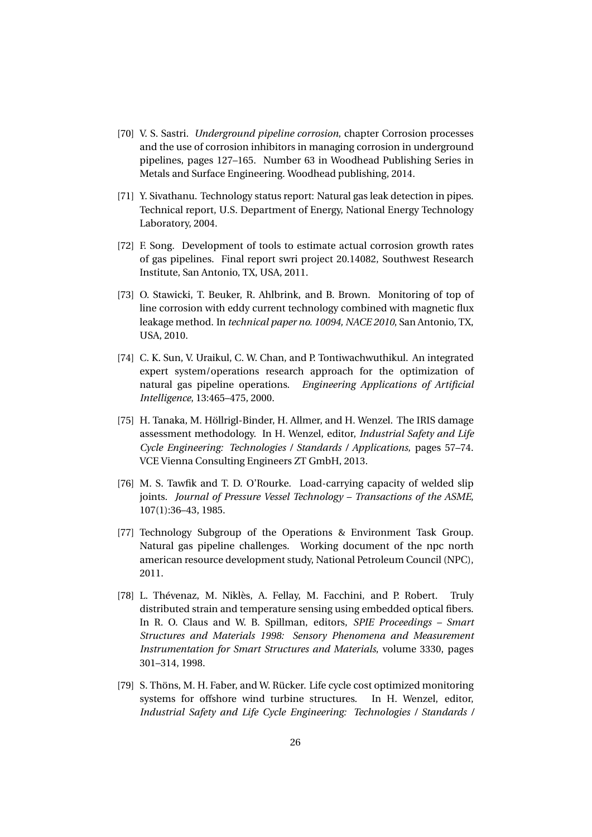- [70] V. S. Sastri. *Underground pipeline corrosion*, chapter Corrosion processes and the use of corrosion inhibitors in managing corrosion in underground pipelines, pages 127–165. Number 63 in Woodhead Publishing Series in Metals and Surface Engineering. Woodhead publishing, 2014.
- [71] Y. Sivathanu. Technology status report: Natural gas leak detection in pipes. Technical report, U.S. Department of Energy, National Energy Technology Laboratory, 2004.
- [72] F. Song. Development of tools to estimate actual corrosion growth rates of gas pipelines. Final report swri project 20.14082, Southwest Research Institute, San Antonio, TX, USA, 2011.
- [73] O. Stawicki, T. Beuker, R. Ahlbrink, and B. Brown. Monitoring of top of line corrosion with eddy current technology combined with magnetic flux leakage method. In *technical paper no. 10094, NACE 2010*, San Antonio, TX, USA, 2010.
- [74] C. K. Sun, V. Uraikul, C. W. Chan, and P. Tontiwachwuthikul. An integrated expert system/operations research approach for the optimization of natural gas pipeline operations. *Engineering Applications of Artificial Intelligence*, 13:465–475, 2000.
- [75] H. Tanaka, M. Höllrigl-Binder, H. Allmer, and H. Wenzel. The IRIS damage assessment methodology. In H. Wenzel, editor, *Industrial Safety and Life Cycle Engineering: Technologies / Standards / Applications*, pages 57–74. VCE Vienna Consulting Engineers ZT GmbH, 2013.
- [76] M. S. Tawfik and T. D. O'Rourke. Load-carrying capacity of welded slip joints. *Journal of Pressure Vessel Technology – Transactions of the ASME*, 107(1):36–43, 1985.
- [77] Technology Subgroup of the Operations & Environment Task Group. Natural gas pipeline challenges. Working document of the npc north american resource development study, National Petroleum Council (NPC), 2011.
- [78] L. Thévenaz, M. Niklès, A. Fellay, M. Facchini, and P. Robert. Truly distributed strain and temperature sensing using embedded optical fibers. In R. O. Claus and W. B. Spillman, editors, *SPIE Proceedings – Smart Structures and Materials 1998: Sensory Phenomena and Measurement Instrumentation for Smart Structures and Materials*, volume 3330, pages 301–314, 1998.
- [79] S. Thöns, M. H. Faber, and W. Rücker. Life cycle cost optimized monitoring systems for offshore wind turbine structures. In H. Wenzel, editor, *Industrial Safety and Life Cycle Engineering: Technologies / Standards /*